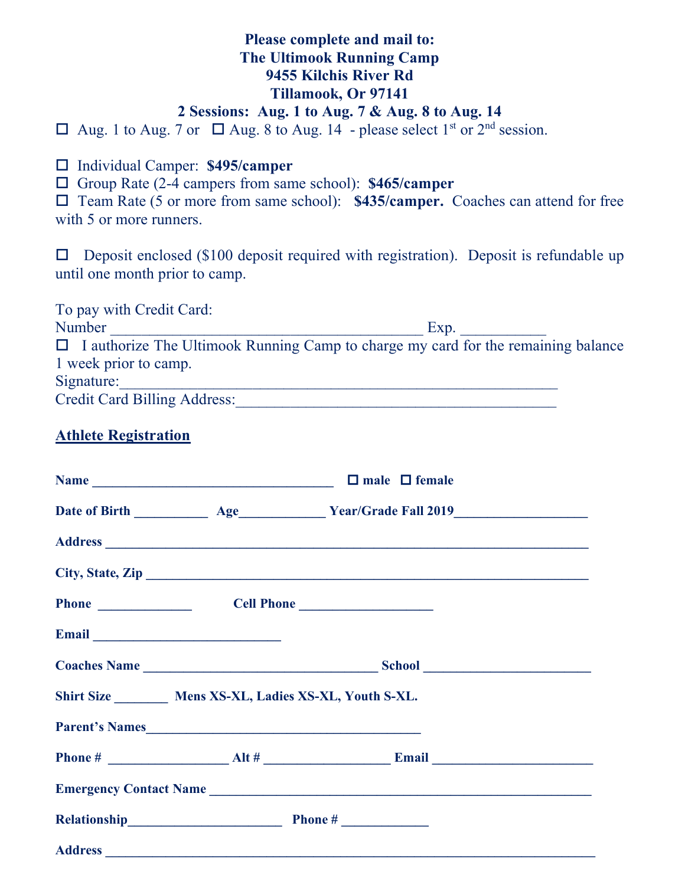# **Please complete and mail to: The Ultimook Running Camp 9455 Kilchis River Rd Tillamook, Or 97141**

### **2 Sessions: Aug. 1 to Aug. 7 & Aug. 8 to Aug. 14**

 $\Box$  Aug. 1 to Aug. 7 or  $\Box$  Aug. 8 to Aug. 14 - please select 1<sup>st</sup> or 2<sup>nd</sup> session.

Individual Camper: **\$495/camper**

Group Rate (2-4 campers from same school): **\$465/camper**

□ Team Rate (5 or more from same school): **\$435/camper.** Coaches can attend for free with 5 or more runners.

 $\square$  Deposit enclosed (\$100 deposit required with registration). Deposit is refundable up until one month prior to camp.

To pay with Credit Card: Number Exp.  $\Box$  I authorize The Ultimook Running Camp to charge my card for the remaining balance 1 week prior to camp. Signature: Credit Card Billing Address:\_\_\_\_\_\_\_\_\_\_\_\_\_\_\_\_\_\_\_\_\_\_\_\_\_\_\_\_\_\_\_\_\_\_\_\_\_\_\_\_\_

### **Athlete Registration**

|  | Name $\Box$ male $\Box$ female                             |  |  |
|--|------------------------------------------------------------|--|--|
|  |                                                            |  |  |
|  |                                                            |  |  |
|  | City, State, Zip                                           |  |  |
|  | Phone <u>Cell Phone</u> Cell Phone <u>Cell Phone</u>       |  |  |
|  |                                                            |  |  |
|  |                                                            |  |  |
|  | Shirt Size _________ Mens XS-XL, Ladies XS-XL, Youth S-XL. |  |  |
|  | Parent's Names                                             |  |  |
|  |                                                            |  |  |
|  |                                                            |  |  |
|  |                                                            |  |  |
|  |                                                            |  |  |